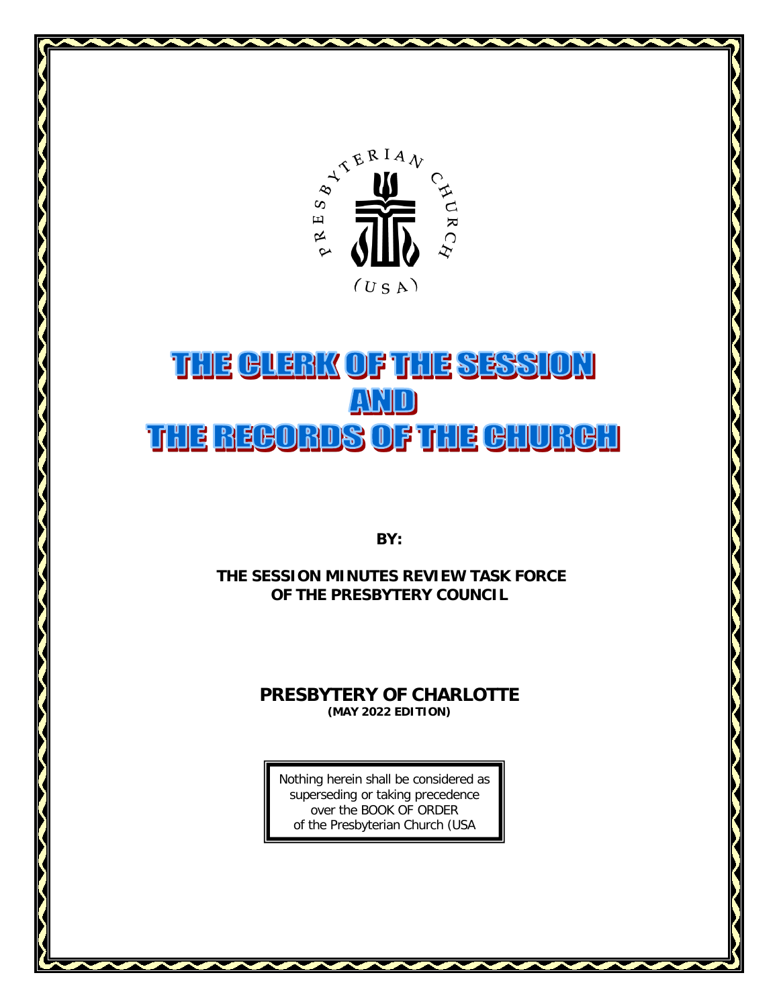

# THE GLERK OF THE SESSION AND THE REGORDS OF THE GHURGH

**BY:** 

**THE SESSION MINUTES REVIEW TASK FORCE OF THE PRESBYTERY COUNCIL**

# **PRESBYTERY OF CHARLOTTE (MAY 2022 EDITION)**

Nothing herein shall be considered as superseding or taking precedence over the BOOK OF ORDER of the Presbyterian Church (USA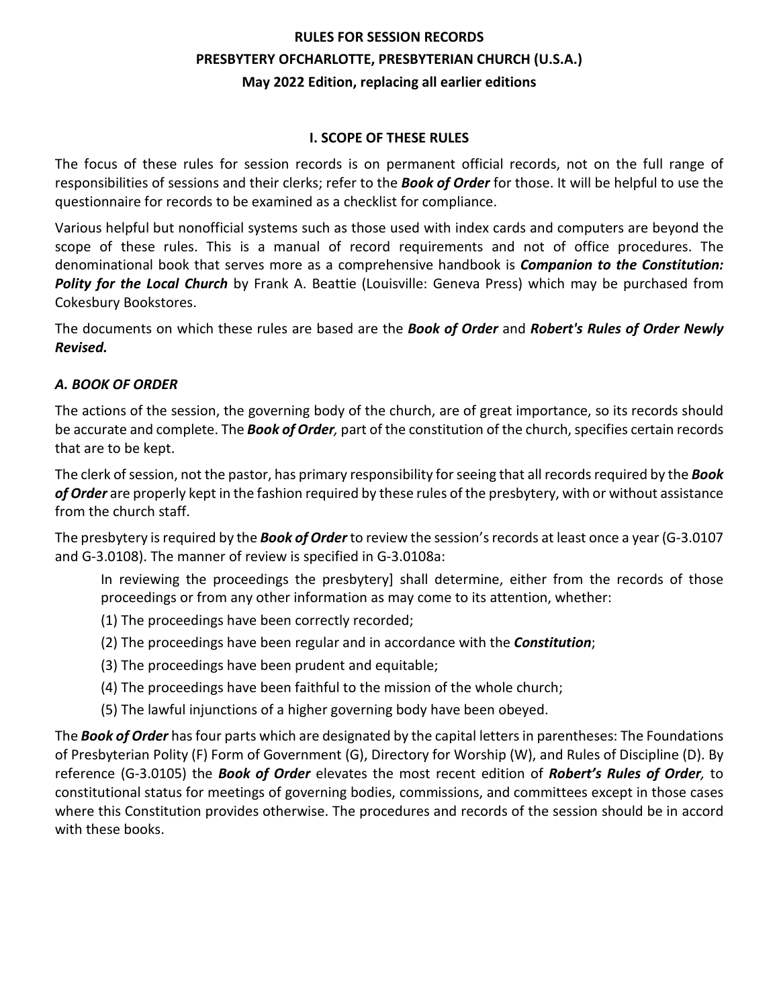# **RULES FOR SESSION RECORDS PRESBYTERY OFCHARLOTTE, PRESBYTERIAN CHURCH (U.S.A.) May 2022 Edition, replacing all earlier editions**

#### **I. SCOPE OF THESE RULES**

The focus of these rules for session records is on permanent official records, not on the full range of responsibilities of sessions and their clerks; refer to the *Book of Order* for those. It will be helpful to use the questionnaire for records to be examined as a checklist for compliance.

Various helpful but nonofficial systems such as those used with index cards and computers are beyond the scope of these rules. This is a manual of record requirements and not of office procedures. The denominational book that serves more as a comprehensive handbook is *Companion to the Constitution: Polity for the Local Church* by Frank A. Beattie (Louisville: Geneva Press) which may be purchased from Cokesbury Bookstores.

The documents on which these rules are based are the *Book of Order* and *Robert's Rules of Order Newly Revised.* 

#### *A. BOOK OF ORDER*

The actions of the session, the governing body of the church, are of great importance, so its records should be accurate and complete. The *Book of Order,* part of the constitution of the church, specifies certain records that are to be kept.

The clerk of session, not the pastor, has primary responsibility for seeing that all records required by the *Book of Order* are properly kept in the fashion required by these rules of the presbytery, with or without assistance from the church staff.

The presbytery is required by the *Book of Order* to review the session's records at least once a year (G-3.0107 and G-3.0108). The manner of review is specified in G-3.0108a:

In reviewing the proceedings the presbytery] shall determine, either from the records of those proceedings or from any other information as may come to its attention, whether:

- (1) The proceedings have been correctly recorded;
- (2) The proceedings have been regular and in accordance with the *Constitution*;
- (3) The proceedings have been prudent and equitable;
- (4) The proceedings have been faithful to the mission of the whole church;
- (5) The lawful injunctions of a higher governing body have been obeyed.

The *Book of Order* has four parts which are designated by the capital letters in parentheses: The Foundations of Presbyterian Polity (F) Form of Government (G), Directory for Worship (W), and Rules of Discipline (D). By reference (G-3.0105) the *Book of Order* elevates the most recent edition of *Robert's Rules of Order,* to constitutional status for meetings of governing bodies, commissions, and committees except in those cases where this Constitution provides otherwise. The procedures and records of the session should be in accord with these books.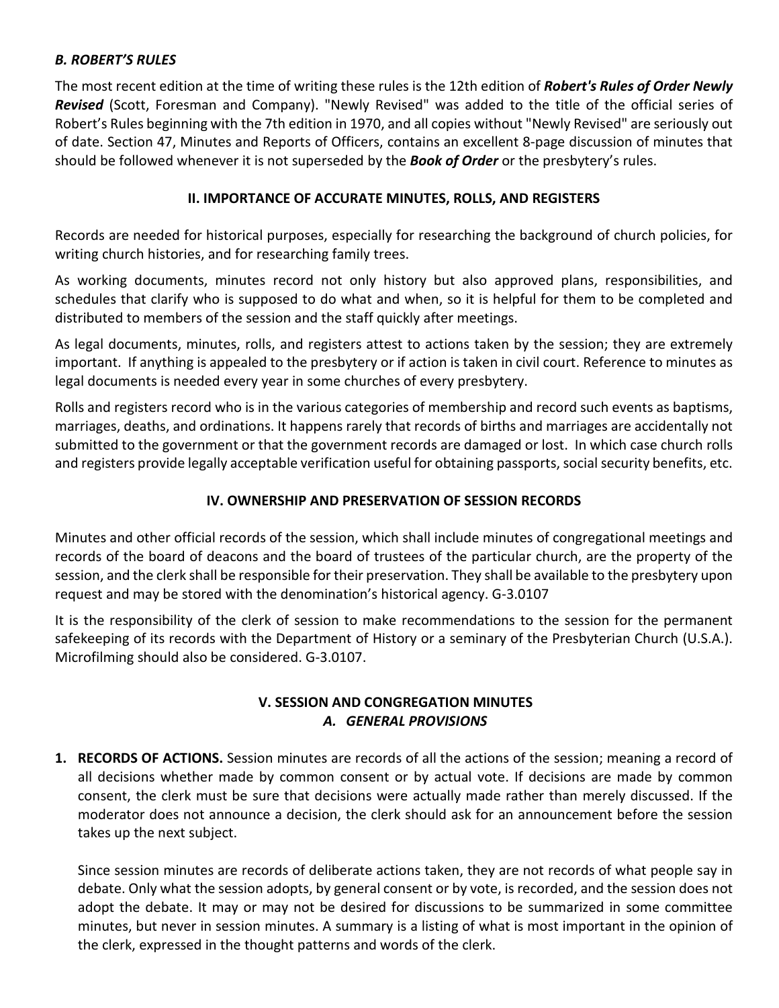## *B. ROBERT'S RULES*

The most recent edition at the time of writing these rules is the 12th edition of *Robert's Rules of Order Newly Revised* (Scott, Foresman and Company). "Newly Revised" was added to the title of the official series of Robert's Rules beginning with the 7th edition in 1970, and all copies without "Newly Revised" are seriously out of date. Section 47, Minutes and Reports of Officers, contains an excellent 8-page discussion of minutes that should be followed whenever it is not superseded by the *Book of Order* or the presbytery's rules.

## **II. IMPORTANCE OF ACCURATE MINUTES, ROLLS, AND REGISTERS**

Records are needed for historical purposes, especially for researching the background of church policies, for writing church histories, and for researching family trees.

As working documents, minutes record not only history but also approved plans, responsibilities, and schedules that clarify who is supposed to do what and when, so it is helpful for them to be completed and distributed to members of the session and the staff quickly after meetings.

As legal documents, minutes, rolls, and registers attest to actions taken by the session; they are extremely important. If anything is appealed to the presbytery or if action is taken in civil court. Reference to minutes as legal documents is needed every year in some churches of every presbytery.

Rolls and registers record who is in the various categories of membership and record such events as baptisms, marriages, deaths, and ordinations. It happens rarely that records of births and marriages are accidentally not submitted to the government or that the government records are damaged or lost. In which case church rolls and registers provide legally acceptable verification useful for obtaining passports, social security benefits, etc.

# **IV. OWNERSHIP AND PRESERVATION OF SESSION RECORDS**

Minutes and other official records of the session, which shall include minutes of congregational meetings and records of the board of deacons and the board of trustees of the particular church, are the property of the session, and the clerk shall be responsible for their preservation. They shall be available to the presbytery upon request and may be stored with the denomination's historical agency. G-3.0107

It is the responsibility of the clerk of session to make recommendations to the session for the permanent safekeeping of its records with the Department of History or a seminary of the Presbyterian Church (U.S.A.). Microfilming should also be considered. G-3.0107.

### **V. SESSION AND CONGREGATION MINUTES** *A. GENERAL PROVISIONS*

**1. RECORDS OF ACTIONS.** Session minutes are records of all the actions of the session; meaning a record of all decisions whether made by common consent or by actual vote. If decisions are made by common consent, the clerk must be sure that decisions were actually made rather than merely discussed. If the moderator does not announce a decision, the clerk should ask for an announcement before the session takes up the next subject.

Since session minutes are records of deliberate actions taken, they are not records of what people say in debate. Only what the session adopts, by general consent or by vote, is recorded, and the session does not adopt the debate. It may or may not be desired for discussions to be summarized in some committee minutes, but never in session minutes. A summary is a listing of what is most important in the opinion of the clerk, expressed in the thought patterns and words of the clerk.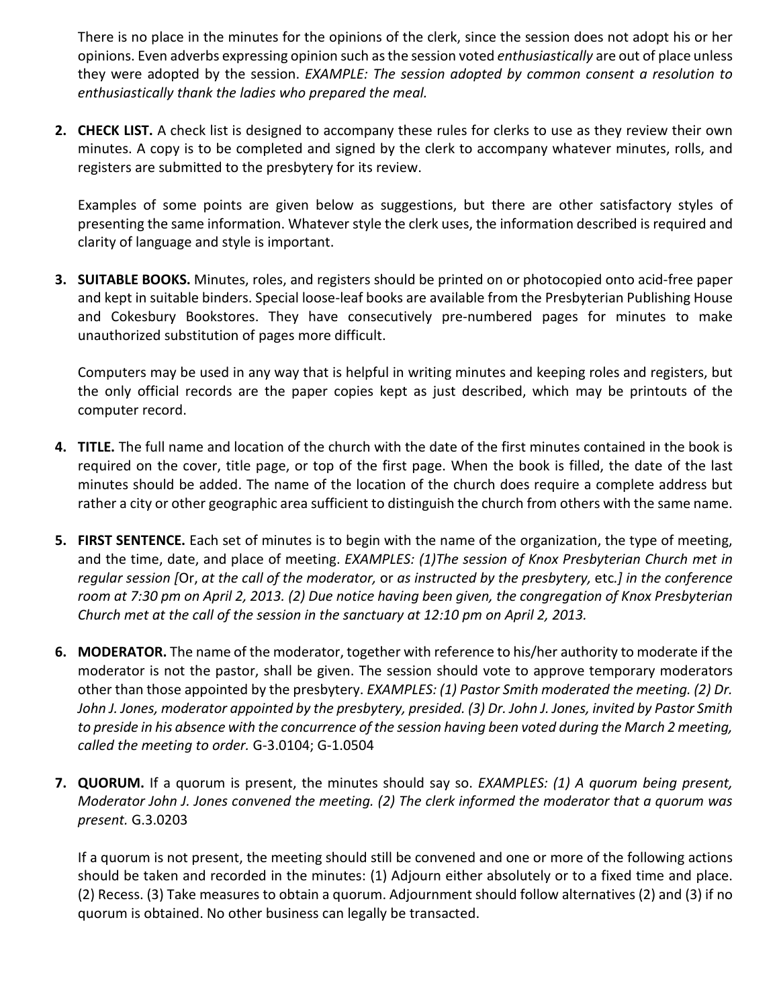There is no place in the minutes for the opinions of the clerk, since the session does not adopt his or her opinions. Even adverbs expressing opinion such as the session voted *enthusiastically* are out of place unless they were adopted by the session. *EXAMPLE: The session adopted by common consent a resolution to enthusiastically thank the ladies who prepared the meal.* 

**2. CHECK LIST.** A check list is designed to accompany these rules for clerks to use as they review their own minutes. A copy is to be completed and signed by the clerk to accompany whatever minutes, rolls, and registers are submitted to the presbytery for its review.

Examples of some points are given below as suggestions, but there are other satisfactory styles of presenting the same information. Whatever style the clerk uses, the information described is required and clarity of language and style is important.

**3. SUITABLE BOOKS.** Minutes, roles, and registers should be printed on or photocopied onto acid-free paper and kept in suitable binders. Special loose-leaf books are available from the Presbyterian Publishing House and Cokesbury Bookstores. They have consecutively pre-numbered pages for minutes to make unauthorized substitution of pages more difficult.

Computers may be used in any way that is helpful in writing minutes and keeping roles and registers, but the only official records are the paper copies kept as just described, which may be printouts of the computer record.

- **4. TITLE.** The full name and location of the church with the date of the first minutes contained in the book is required on the cover, title page, or top of the first page. When the book is filled, the date of the last minutes should be added. The name of the location of the church does require a complete address but rather a city or other geographic area sufficient to distinguish the church from others with the same name.
- **5. FIRST SENTENCE.** Each set of minutes is to begin with the name of the organization, the type of meeting, and the time, date, and place of meeting. *EXAMPLES: (1)The session of Knox Presbyterian Church met in regular session [*Or, *at the call of the moderator,* or *as instructed by the presbytery,* etc*.] in the conference room at 7:30 pm on April 2, 2013. (2) Due notice having been given, the congregation of Knox Presbyterian Church met at the call of the session in the sanctuary at 12:10 pm on April 2, 2013.*
- **6. MODERATOR.** The name of the moderator, together with reference to his/her authority to moderate if the moderator is not the pastor, shall be given. The session should vote to approve temporary moderators other than those appointed by the presbytery. *EXAMPLES: (1) Pastor Smith moderated the meeting. (2) Dr. John J. Jones, moderator appointed by the presbytery, presided. (3) Dr. John J. Jones, invited by Pastor Smith to preside in his absence with the concurrence of the session having been voted during the March 2 meeting, called the meeting to order.* G-3.0104; G-1.0504
- **7. QUORUM.** If a quorum is present, the minutes should say so. *EXAMPLES: (1) A quorum being present, Moderator John J. Jones convened the meeting. (2) The clerk informed the moderator that a quorum was present.* G.3.0203

If a quorum is not present, the meeting should still be convened and one or more of the following actions should be taken and recorded in the minutes: (1) Adjourn either absolutely or to a fixed time and place. (2) Recess. (3) Take measures to obtain a quorum. Adjournment should follow alternatives (2) and (3) if no quorum is obtained. No other business can legally be transacted.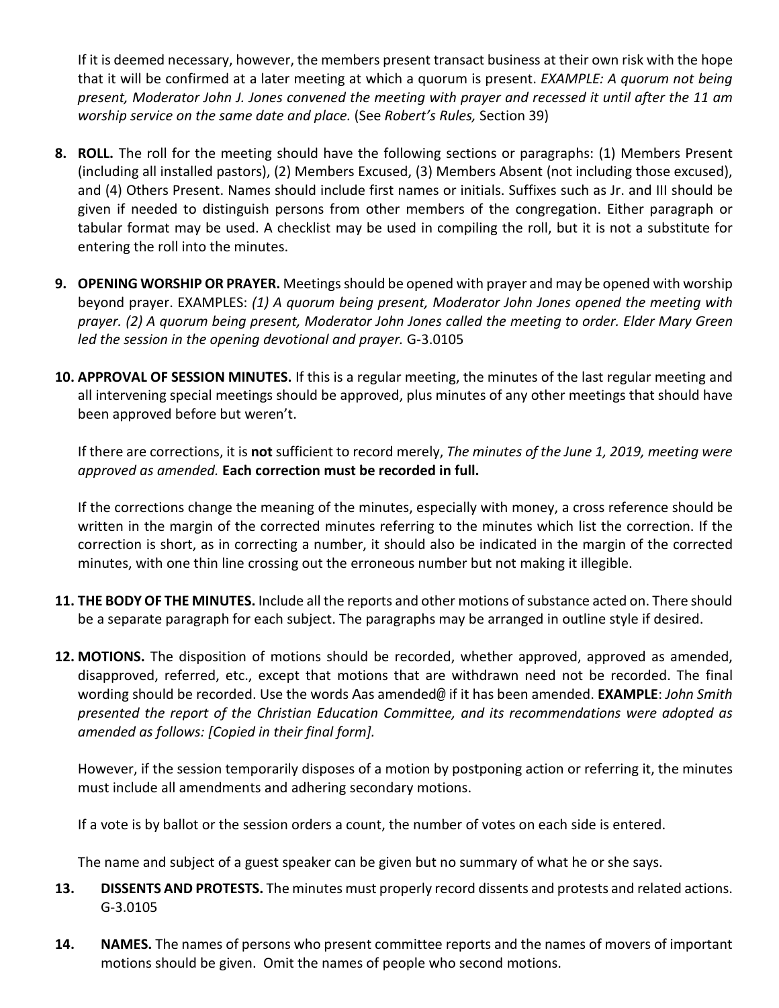If it is deemed necessary, however, the members present transact business at their own risk with the hope that it will be confirmed at a later meeting at which a quorum is present. *EXAMPLE: A quorum not being present, Moderator John J. Jones convened the meeting with prayer and recessed it until after the 11 am worship service on the same date and place.* (See *Robert's Rules,* Section 39)

- **8. ROLL.** The roll for the meeting should have the following sections or paragraphs: (1) Members Present (including all installed pastors), (2) Members Excused, (3) Members Absent (not including those excused), and (4) Others Present. Names should include first names or initials. Suffixes such as Jr. and III should be given if needed to distinguish persons from other members of the congregation. Either paragraph or tabular format may be used. A checklist may be used in compiling the roll, but it is not a substitute for entering the roll into the minutes.
- **9. OPENING WORSHIP OR PRAYER.** Meetings should be opened with prayer and may be opened with worship beyond prayer. EXAMPLES: *(1) A quorum being present, Moderator John Jones opened the meeting with prayer. (2) A quorum being present, Moderator John Jones called the meeting to order. Elder Mary Green led the session in the opening devotional and prayer.* G-3.0105
- **10. APPROVAL OF SESSION MINUTES.** If this is a regular meeting, the minutes of the last regular meeting and all intervening special meetings should be approved, plus minutes of any other meetings that should have been approved before but weren't.

If there are corrections, it is **not** sufficient to record merely, *The minutes of the June 1, 2019, meeting were approved as amended.* **Each correction must be recorded in full.** 

If the corrections change the meaning of the minutes, especially with money, a cross reference should be written in the margin of the corrected minutes referring to the minutes which list the correction. If the correction is short, as in correcting a number, it should also be indicated in the margin of the corrected minutes, with one thin line crossing out the erroneous number but not making it illegible.

- **11. THE BODY OF THE MINUTES.** Include all the reports and other motions of substance acted on. There should be a separate paragraph for each subject. The paragraphs may be arranged in outline style if desired.
- **12. MOTIONS.** The disposition of motions should be recorded, whether approved, approved as amended, disapproved, referred, etc., except that motions that are withdrawn need not be recorded. The final wording should be recorded. Use the words Aas amended@ if it has been amended. **EXAMPLE**: *John Smith presented the report of the Christian Education Committee, and its recommendations were adopted as amended as follows: [Copied in their final form].*

However, if the session temporarily disposes of a motion by postponing action or referring it, the minutes must include all amendments and adhering secondary motions.

If a vote is by ballot or the session orders a count, the number of votes on each side is entered.

The name and subject of a guest speaker can be given but no summary of what he or she says.

- **13. DISSENTS AND PROTESTS.** The minutes must properly record dissents and protests and related actions. G-3.0105
- **14. NAMES.** The names of persons who present committee reports and the names of movers of important motions should be given. Omit the names of people who second motions.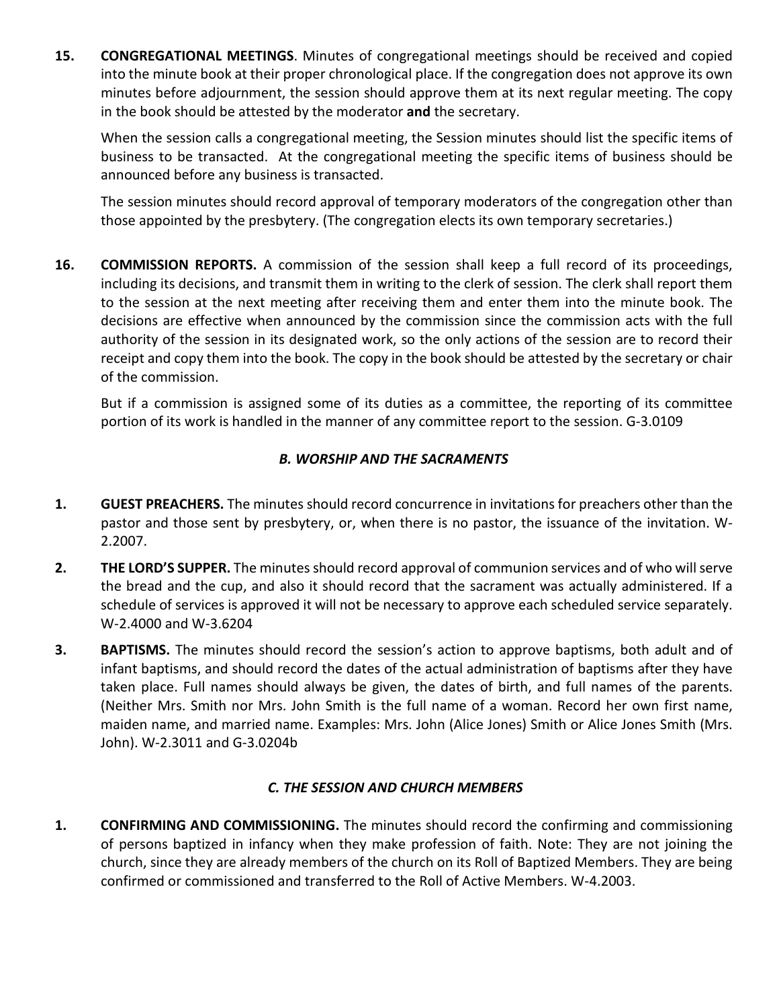**15. CONGREGATIONAL MEETINGS**. Minutes of congregational meetings should be received and copied into the minute book at their proper chronological place. If the congregation does not approve its own minutes before adjournment, the session should approve them at its next regular meeting. The copy in the book should be attested by the moderator **and** the secretary.

When the session calls a congregational meeting, the Session minutes should list the specific items of business to be transacted. At the congregational meeting the specific items of business should be announced before any business is transacted.

The session minutes should record approval of temporary moderators of the congregation other than those appointed by the presbytery. (The congregation elects its own temporary secretaries.)

**16. COMMISSION REPORTS.** A commission of the session shall keep a full record of its proceedings, including its decisions, and transmit them in writing to the clerk of session. The clerk shall report them to the session at the next meeting after receiving them and enter them into the minute book. The decisions are effective when announced by the commission since the commission acts with the full authority of the session in its designated work, so the only actions of the session are to record their receipt and copy them into the book. The copy in the book should be attested by the secretary or chair of the commission.

But if a commission is assigned some of its duties as a committee, the reporting of its committee portion of its work is handled in the manner of any committee report to the session. G-3.0109

# *B. WORSHIP AND THE SACRAMENTS*

- **1. GUEST PREACHERS.** The minutes should record concurrence in invitations for preachers other than the pastor and those sent by presbytery, or, when there is no pastor, the issuance of the invitation. W-2.2007.
- **2. THE LORD'S SUPPER.** The minutes should record approval of communion services and of who will serve the bread and the cup, and also it should record that the sacrament was actually administered. If a schedule of services is approved it will not be necessary to approve each scheduled service separately. W-2.4000 and W-3.6204
- **3.** BAPTISMS. The minutes should record the session's action to approve baptisms, both adult and of infant baptisms, and should record the dates of the actual administration of baptisms after they have taken place. Full names should always be given, the dates of birth, and full names of the parents. (Neither Mrs. Smith nor Mrs. John Smith is the full name of a woman. Record her own first name, maiden name, and married name. Examples: Mrs. John (Alice Jones) Smith or Alice Jones Smith (Mrs. John). W-2.3011 and G-3.0204b

### *C. THE SESSION AND CHURCH MEMBERS*

**1. CONFIRMING AND COMMISSIONING.** The minutes should record the confirming and commissioning of persons baptized in infancy when they make profession of faith. Note: They are not joining the church, since they are already members of the church on its Roll of Baptized Members. They are being confirmed or commissioned and transferred to the Roll of Active Members. W-4.2003.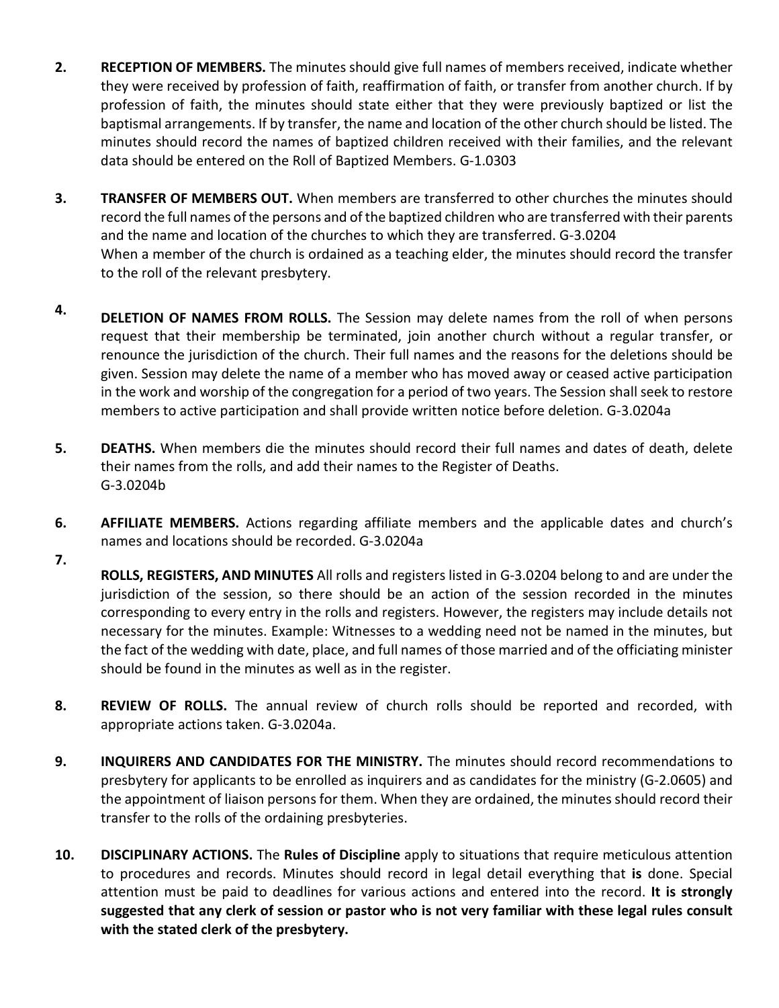- **2. RECEPTION OF MEMBERS.** The minutes should give full names of members received, indicate whether they were received by profession of faith, reaffirmation of faith, or transfer from another church. If by profession of faith, the minutes should state either that they were previously baptized or list the baptismal arrangements. If by transfer, the name and location of the other church should be listed. The minutes should record the names of baptized children received with their families, and the relevant data should be entered on the Roll of Baptized Members. G-1.0303
- **3. TRANSFER OF MEMBERS OUT.** When members are transferred to other churches the minutes should record the full names of the persons and of the baptized children who are transferred with their parents and the name and location of the churches to which they are transferred. G-3.0204 When a member of the church is ordained as a teaching elder, the minutes should record the transfer to the roll of the relevant presbytery.
- **4. DELETION OF NAMES FROM ROLLS.** The Session may delete names from the roll of when persons request that their membership be terminated, join another church without a regular transfer, or renounce the jurisdiction of the church. Their full names and the reasons for the deletions should be given. Session may delete the name of a member who has moved away or ceased active participation in the work and worship of the congregation for a period of two years. The Session shall seek to restore members to active participation and shall provide written notice before deletion. G-3.0204a
- **5. DEATHS.** When members die the minutes should record their full names and dates of death, delete their names from the rolls, and add their names to the Register of Deaths. G-3.0204b
- **6. AFFILIATE MEMBERS.** Actions regarding affiliate members and the applicable dates and church's names and locations should be recorded. G-3.0204a
- **7. ROLLS, REGISTERS, AND MINUTES** All rolls and registers listed in G-3.0204 belong to and are under the jurisdiction of the session, so there should be an action of the session recorded in the minutes corresponding to every entry in the rolls and registers. However, the registers may include details not necessary for the minutes. Example: Witnesses to a wedding need not be named in the minutes, but the fact of the wedding with date, place, and full names of those married and of the officiating minister should be found in the minutes as well as in the register.
- **8. REVIEW OF ROLLS.** The annual review of church rolls should be reported and recorded, with appropriate actions taken. G-3.0204a.
- **9. INQUIRERS AND CANDIDATES FOR THE MINISTRY.** The minutes should record recommendations to presbytery for applicants to be enrolled as inquirers and as candidates for the ministry (G-2.0605) and the appointment of liaison persons for them. When they are ordained, the minutes should record their transfer to the rolls of the ordaining presbyteries.
- **10. DISCIPLINARY ACTIONS.** The **Rules of Discipline** apply to situations that require meticulous attention to procedures and records. Minutes should record in legal detail everything that **is** done. Special attention must be paid to deadlines for various actions and entered into the record. **It is strongly suggested that any clerk of session or pastor who is not very familiar with these legal rules consult with the stated clerk of the presbytery.**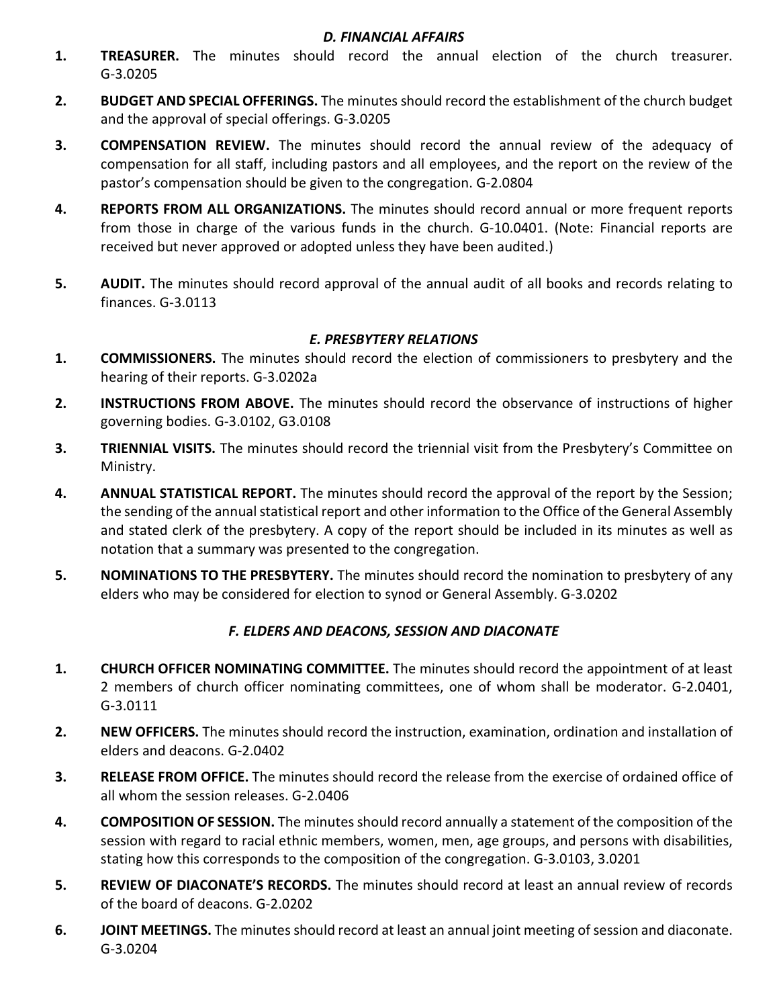#### *D. FINANCIAL AFFAIRS*

- **1. TREASURER.** The minutes should record the annual election of the church treasurer. G-3.0205
- **2. BUDGET AND SPECIAL OFFERINGS.** The minutes should record the establishment of the church budget and the approval of special offerings. G-3.0205
- **3. COMPENSATION REVIEW.** The minutes should record the annual review of the adequacy of compensation for all staff, including pastors and all employees, and the report on the review of the pastor's compensation should be given to the congregation. G-2.0804
- **4. REPORTS FROM ALL ORGANIZATIONS.** The minutes should record annual or more frequent reports from those in charge of the various funds in the church. G-10.0401. (Note: Financial reports are received but never approved or adopted unless they have been audited.)
- **5. AUDIT.** The minutes should record approval of the annual audit of all books and records relating to finances. G-3.0113

### *E. PRESBYTERY RELATIONS*

- **1. COMMISSIONERS.** The minutes should record the election of commissioners to presbytery and the hearing of their reports. G-3.0202a
- **2. INSTRUCTIONS FROM ABOVE.** The minutes should record the observance of instructions of higher governing bodies. G-3.0102, G3.0108
- **3. TRIENNIAL VISITS.** The minutes should record the triennial visit from the Presbytery's Committee on Ministry.
- **4. ANNUAL STATISTICAL REPORT.** The minutes should record the approval of the report by the Session; the sending of the annual statistical report and other information to the Office of the General Assembly and stated clerk of the presbytery. A copy of the report should be included in its minutes as well as notation that a summary was presented to the congregation.
- **5. NOMINATIONS TO THE PRESBYTERY.** The minutes should record the nomination to presbytery of any elders who may be considered for election to synod or General Assembly. G-3.0202

### *F. ELDERS AND DEACONS, SESSION AND DIACONATE*

- **1. CHURCH OFFICER NOMINATING COMMITTEE.** The minutes should record the appointment of at least 2 members of church officer nominating committees, one of whom shall be moderator. G-2.0401, G-3.0111
- **2. NEW OFFICERS.** The minutes should record the instruction, examination, ordination and installation of elders and deacons. G-2.0402
- **3. RELEASE FROM OFFICE.** The minutes should record the release from the exercise of ordained office of all whom the session releases. G-2.0406
- **4. COMPOSITION OF SESSION.** The minutes should record annually a statement of the composition of the session with regard to racial ethnic members, women, men, age groups, and persons with disabilities, stating how this corresponds to the composition of the congregation. G-3.0103, 3.0201
- **5. REVIEW OF DIACONATE'S RECORDS.** The minutes should record at least an annual review of records of the board of deacons. G-2.0202
- **6. JOINT MEETINGS.** The minutes should record at least an annual joint meeting of session and diaconate. G-3.0204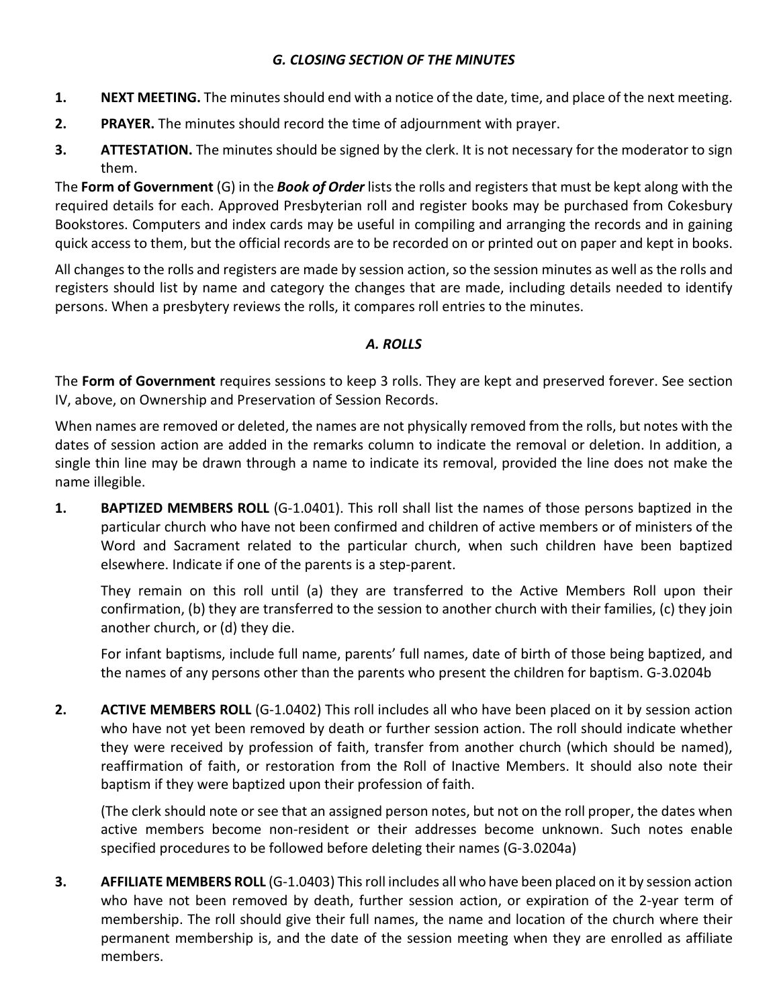# *G. CLOSING SECTION OF THE MINUTES*

- **1. NEXT MEETING.** The minutes should end with a notice of the date, time, and place of the next meeting.
- **2. PRAYER.** The minutes should record the time of adjournment with prayer.
- **3.** ATTESTATION. The minutes should be signed by the clerk. It is not necessary for the moderator to sign them.

The **Form of Government** (G) in the *Book of Order* lists the rolls and registers that must be kept along with the required details for each. Approved Presbyterian roll and register books may be purchased from Cokesbury Bookstores. Computers and index cards may be useful in compiling and arranging the records and in gaining quick access to them, but the official records are to be recorded on or printed out on paper and kept in books.

All changes to the rolls and registers are made by session action, so the session minutes as well as the rolls and registers should list by name and category the changes that are made, including details needed to identify persons. When a presbytery reviews the rolls, it compares roll entries to the minutes.

### *A. ROLLS*

The **Form of Government** requires sessions to keep 3 rolls. They are kept and preserved forever. See section IV, above, on Ownership and Preservation of Session Records.

When names are removed or deleted, the names are not physically removed from the rolls, but notes with the dates of session action are added in the remarks column to indicate the removal or deletion. In addition, a single thin line may be drawn through a name to indicate its removal, provided the line does not make the name illegible.

**1. BAPTIZED MEMBERS ROLL** (G-1.0401). This roll shall list the names of those persons baptized in the particular church who have not been confirmed and children of active members or of ministers of the Word and Sacrament related to the particular church, when such children have been baptized elsewhere. Indicate if one of the parents is a step-parent.

They remain on this roll until (a) they are transferred to the Active Members Roll upon their confirmation, (b) they are transferred to the session to another church with their families, (c) they join another church, or (d) they die.

For infant baptisms, include full name, parents' full names, date of birth of those being baptized, and the names of any persons other than the parents who present the children for baptism. G-3.0204b

**2. ACTIVE MEMBERS ROLL** (G-1.0402) This roll includes all who have been placed on it by session action who have not yet been removed by death or further session action. The roll should indicate whether they were received by profession of faith, transfer from another church (which should be named), reaffirmation of faith, or restoration from the Roll of Inactive Members. It should also note their baptism if they were baptized upon their profession of faith.

(The clerk should note or see that an assigned person notes, but not on the roll proper, the dates when active members become non-resident or their addresses become unknown. Such notes enable specified procedures to be followed before deleting their names (G-3.0204a)

**3. AFFILIATE MEMBERS ROLL** (G-1.0403) This roll includes all who have been placed on it by session action who have not been removed by death, further session action, or expiration of the 2-year term of membership. The roll should give their full names, the name and location of the church where their permanent membership is, and the date of the session meeting when they are enrolled as affiliate members.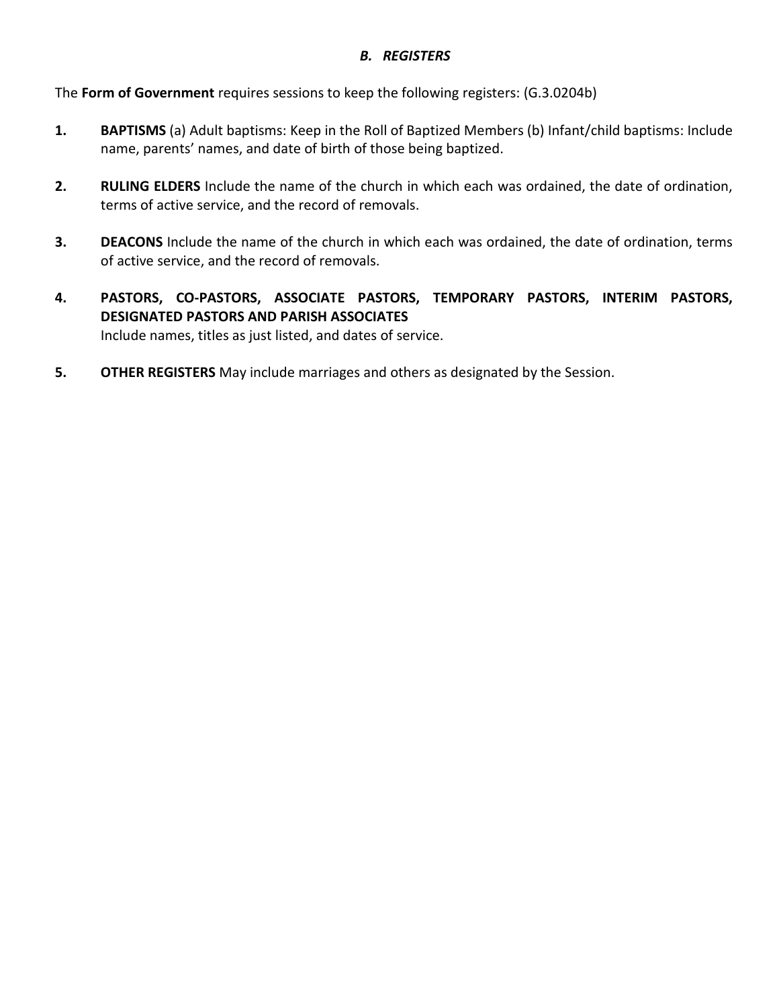#### *B. REGISTERS*

The **Form of Government** requires sessions to keep the following registers: (G.3.0204b)

- **1. BAPTISMS** (a) Adult baptisms: Keep in the Roll of Baptized Members (b) Infant/child baptisms: Include name, parents' names, and date of birth of those being baptized.
- **2. RULING ELDERS** Include the name of the church in which each was ordained, the date of ordination, terms of active service, and the record of removals.
- **3. DEACONS** Include the name of the church in which each was ordained, the date of ordination, terms of active service, and the record of removals.
- **4. PASTORS, CO-PASTORS, ASSOCIATE PASTORS, TEMPORARY PASTORS, INTERIM PASTORS, DESIGNATED PASTORS AND PARISH ASSOCIATES** Include names, titles as just listed, and dates of service.
- **5. OTHER REGISTERS** May include marriages and others as designated by the Session.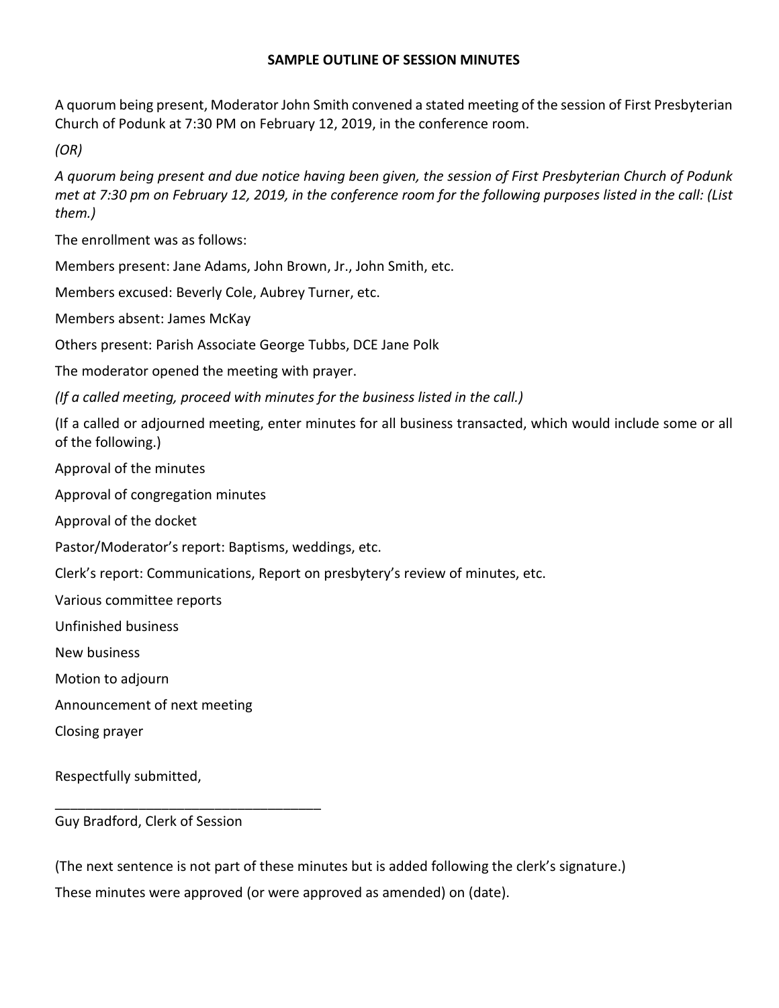#### **SAMPLE OUTLINE OF SESSION MINUTES**

A quorum being present, Moderator John Smith convened a stated meeting of the session of First Presbyterian Church of Podunk at 7:30 PM on February 12, 2019, in the conference room.

*(OR)* 

*A quorum being present and due notice having been given, the session of First Presbyterian Church of Podunk met at 7:30 pm on February 12, 2019, in the conference room for the following purposes listed in the call: (List them.)*

The enrollment was as follows:

Members present: Jane Adams, John Brown, Jr., John Smith, etc.

Members excused: Beverly Cole, Aubrey Turner, etc.

Members absent: James McKay

Others present: Parish Associate George Tubbs, DCE Jane Polk

The moderator opened the meeting with prayer.

*(If a called meeting, proceed with minutes for the business listed in the call.)* 

(If a called or adjourned meeting, enter minutes for all business transacted, which would include some or all of the following.)

Approval of the minutes

Approval of congregation minutes

Approval of the docket

Pastor/Moderator's report: Baptisms, weddings, etc.

Clerk's report: Communications, Report on presbytery's review of minutes, etc.

Various committee reports

Unfinished business

New business

Motion to adjourn

Announcement of next meeting

Closing prayer

Respectfully submitted,

Guy Bradford, Clerk of Session

\_\_\_\_\_\_\_\_\_\_\_\_\_\_\_\_\_\_\_\_\_\_\_\_\_\_\_\_\_\_\_\_\_\_\_

(The next sentence is not part of these minutes but is added following the clerk's signature.) These minutes were approved (or were approved as amended) on (date).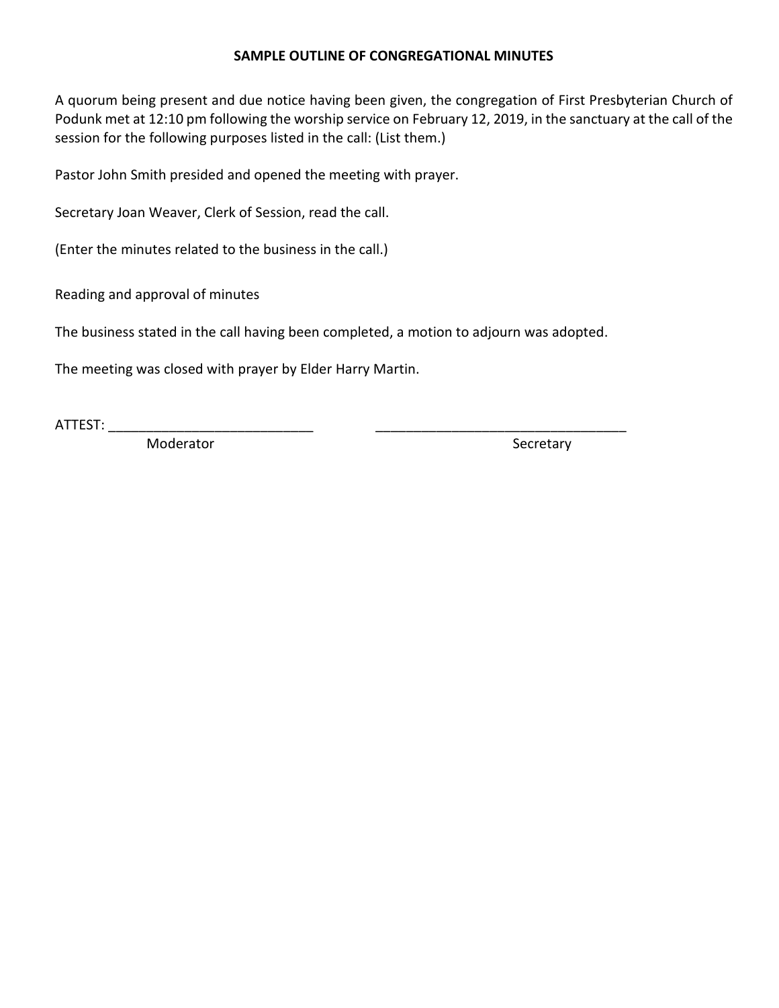#### **SAMPLE OUTLINE OF CONGREGATIONAL MINUTES**

A quorum being present and due notice having been given, the congregation of First Presbyterian Church of Podunk met at 12:10 pm following the worship service on February 12, 2019, in the sanctuary at the call of the session for the following purposes listed in the call: (List them.)

Pastor John Smith presided and opened the meeting with prayer.

Secretary Joan Weaver, Clerk of Session, read the call.

(Enter the minutes related to the business in the call.)

Reading and approval of minutes

The business stated in the call having been completed, a motion to adjourn was adopted.

The meeting was closed with prayer by Elder Harry Martin.

ATTEST: \_\_\_\_\_\_\_\_\_\_\_\_\_\_\_\_\_\_\_\_\_\_\_\_\_\_\_ \_\_\_\_\_\_\_\_\_\_\_\_\_\_\_\_\_\_\_\_\_\_\_\_\_\_\_\_\_\_\_\_\_

Moderator Secretary Secretary